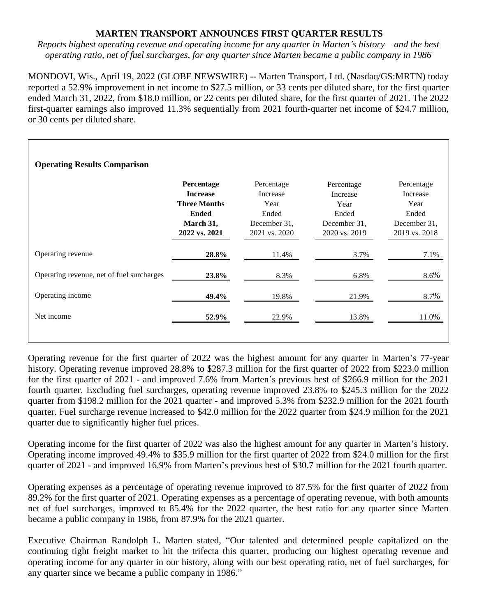# **MARTEN TRANSPORT ANNOUNCES FIRST QUARTER RESULTS**

*Reports highest operating revenue and operating income for any quarter in Marten's history – and the best operating ratio, net of fuel surcharges, for any quarter since Marten became a public company in 1986*

MONDOVI, Wis., April 19, 2022 (GLOBE NEWSWIRE) -- Marten Transport, Ltd. (Nasdaq/GS:MRTN) today reported a 52.9% improvement in net income to \$27.5 million, or 33 cents per diluted share, for the first quarter ended March 31, 2022, from \$18.0 million, or 22 cents per diluted share, for the first quarter of 2021. The 2022 first-quarter earnings also improved 11.3% sequentially from 2021 fourth-quarter net income of \$24.7 million, or 30 cents per diluted share.

| <b>Operating Results Comparison</b>       |                                                                                                    |                                                                          |                                                                          |                                                                          |  |  |  |  |  |  |
|-------------------------------------------|----------------------------------------------------------------------------------------------------|--------------------------------------------------------------------------|--------------------------------------------------------------------------|--------------------------------------------------------------------------|--|--|--|--|--|--|
|                                           | Percentage<br><b>Increase</b><br><b>Three Months</b><br><b>Ended</b><br>March 31,<br>2022 vs. 2021 | Percentage<br>Increase<br>Year<br>Ended<br>December 31,<br>2021 vs. 2020 | Percentage<br>Increase<br>Year<br>Ended<br>December 31,<br>2020 vs. 2019 | Percentage<br>Increase<br>Year<br>Ended<br>December 31,<br>2019 vs. 2018 |  |  |  |  |  |  |
| Operating revenue                         | 28.8%                                                                                              | 11.4%                                                                    | 3.7%                                                                     | 7.1%                                                                     |  |  |  |  |  |  |
| Operating revenue, net of fuel surcharges | 23.8%                                                                                              | 8.3%                                                                     | 6.8%                                                                     | 8.6%                                                                     |  |  |  |  |  |  |
| Operating income                          | 49.4%                                                                                              | 19.8%                                                                    | 21.9%                                                                    | 8.7%                                                                     |  |  |  |  |  |  |
| Net income                                | 52.9%                                                                                              | 22.9%                                                                    | 13.8%                                                                    | 11.0%                                                                    |  |  |  |  |  |  |

Operating revenue for the first quarter of 2022 was the highest amount for any quarter in Marten's 77-year history. Operating revenue improved 28.8% to \$287.3 million for the first quarter of 2022 from \$223.0 million for the first quarter of 2021 - and improved 7.6% from Marten's previous best of \$266.9 million for the 2021 fourth quarter. Excluding fuel surcharges, operating revenue improved 23.8% to \$245.3 million for the 2022 quarter from \$198.2 million for the 2021 quarter - and improved 5.3% from \$232.9 million for the 2021 fourth quarter. Fuel surcharge revenue increased to \$42.0 million for the 2022 quarter from \$24.9 million for the 2021 quarter due to significantly higher fuel prices.

Operating income for the first quarter of 2022 was also the highest amount for any quarter in Marten's history. Operating income improved 49.4% to \$35.9 million for the first quarter of 2022 from \$24.0 million for the first quarter of 2021 - and improved 16.9% from Marten's previous best of \$30.7 million for the 2021 fourth quarter.

Operating expenses as a percentage of operating revenue improved to 87.5% for the first quarter of 2022 from 89.2% for the first quarter of 2021. Operating expenses as a percentage of operating revenue, with both amounts net of fuel surcharges, improved to 85.4% for the 2022 quarter, the best ratio for any quarter since Marten became a public company in 1986, from 87.9% for the 2021 quarter.

Executive Chairman Randolph L. Marten stated, "Our talented and determined people capitalized on the continuing tight freight market to hit the trifecta this quarter, producing our highest operating revenue and operating income for any quarter in our history, along with our best operating ratio, net of fuel surcharges, for any quarter since we became a public company in 1986."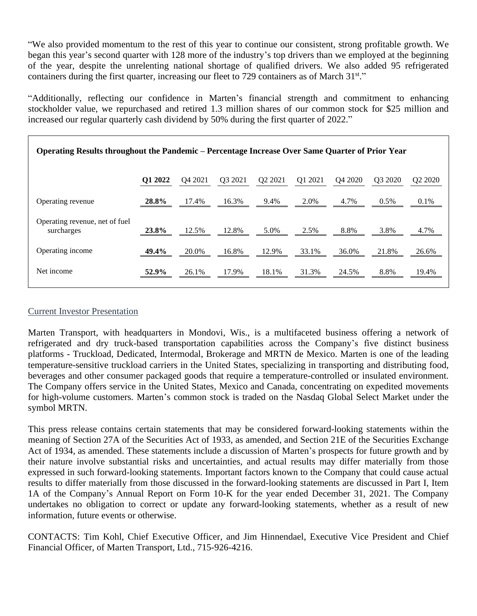"We also provided momentum to the rest of this year to continue our consistent, strong profitable growth. We began this year's second quarter with 128 more of the industry's top drivers than we employed at the beginning of the year, despite the unrelenting national shortage of qualified drivers. We also added 95 refrigerated containers during the first quarter, increasing our fleet to 729 containers as of March 31st."

"Additionally, reflecting our confidence in Marten's financial strength and commitment to enhancing stockholder value, we repurchased and retired 1.3 million shares of our common stock for \$25 million and increased our regular quarterly cash dividend by 50% during the first quarter of 2022."

| <b>Operating Results throughout the Pandemic – Percentage Increase Over Same Quarter of Prior Year</b> |         |         |                     |                                 |         |                     |                     |         |  |
|--------------------------------------------------------------------------------------------------------|---------|---------|---------------------|---------------------------------|---------|---------------------|---------------------|---------|--|
|                                                                                                        | Q1 2022 | Q4 2021 | O <sub>3</sub> 2021 | Q <sub>2</sub> 20 <sub>21</sub> | Q1 2021 | O <sub>4</sub> 2020 | O <sub>3</sub> 2020 | Q2 2020 |  |
| Operating revenue                                                                                      | 28.8%   | 17.4%   | 16.3%               | 9.4%                            | 2.0%    | 4.7%                | $0.5\%$             | $0.1\%$ |  |
| Operating revenue, net of fuel<br>surcharges                                                           | 23.8%   | 12.5%   | 12.8%               | 5.0%                            | 2.5%    | 8.8%                | 3.8%                | 4.7%    |  |
| Operating income                                                                                       | 49.4%   | 20.0%   | 16.8%               | 12.9%                           | 33.1%   | 36.0%               | 21.8%               | 26.6%   |  |
| Net income                                                                                             | 52.9%   | 26.1%   | 17.9%               | 18.1%                           | 31.3%   | 24.5%               | 8.8%                | 19.4%   |  |

## [Current Investor Presentation](https://www.marten.com/content/investor-relations/investor-presentation/Q1_2022_Investor-Presentation.pdf)

Marten Transport, with headquarters in Mondovi, Wis., is a multifaceted business offering a network of refrigerated and dry truck-based transportation capabilities across the Company's five distinct business platforms - Truckload, Dedicated, Intermodal, Brokerage and MRTN de Mexico. Marten is one of the leading temperature-sensitive truckload carriers in the United States, specializing in transporting and distributing food, beverages and other consumer packaged goods that require a temperature-controlled or insulated environment. The Company offers service in the United States, Mexico and Canada, concentrating on expedited movements for high-volume customers. Marten's common stock is traded on the Nasdaq Global Select Market under the symbol MRTN.

This press release contains certain statements that may be considered forward-looking statements within the meaning of Section 27A of the Securities Act of 1933, as amended, and Section 21E of the Securities Exchange Act of 1934, as amended. These statements include a discussion of Marten's prospects for future growth and by their nature involve substantial risks and uncertainties, and actual results may differ materially from those expressed in such forward-looking statements. Important factors known to the Company that could cause actual results to differ materially from those discussed in the forward-looking statements are discussed in Part I, Item 1A of the Company's Annual Report on Form 10-K for the year ended December 31, 2021. The Company undertakes no obligation to correct or update any forward-looking statements, whether as a result of new information, future events or otherwise.

CONTACTS: Tim Kohl, Chief Executive Officer, and Jim Hinnendael, Executive Vice President and Chief Financial Officer, of Marten Transport, Ltd., 715-926-4216.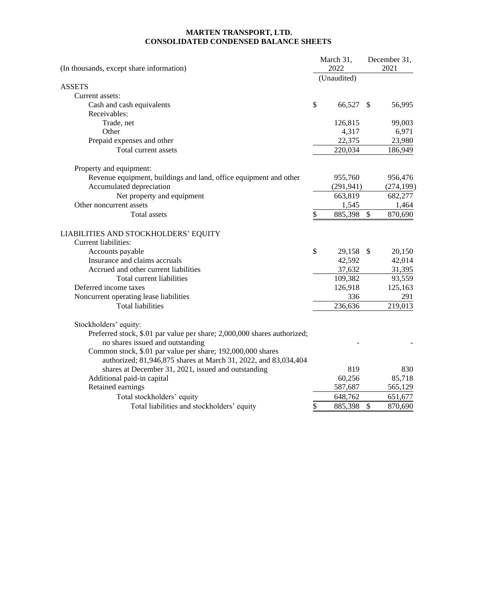### **MARTEN TRANSPORT, LTD. CONSOLIDATED CONDENSED BALANCE SHEETS**

| (Unaudited)<br><b>ASSETS</b><br>Current assets:<br>\$<br>66,527<br>56,995<br>Cash and cash equivalents<br>$\mathcal{S}$<br>Receivables:<br>Trade, net<br>126,815<br>99,003<br>6,971<br>Other<br>4,317<br>22,375<br>23,980<br>Prepaid expenses and other<br>Total current assets<br>220,034<br>186,949<br>Property and equipment:<br>Revenue equipment, buildings and land, office equipment and other<br>955,760<br>956,476<br>Accumulated depreciation<br>(291, 941)<br>Net property and equipment<br>663,819<br>682,277<br>Other noncurrent assets<br>1,464<br>1,545<br>\$<br>$\mathbb{S}$<br>870,690<br>Total assets<br>885,398<br>LIABILITIES AND STOCKHOLDERS' EQUITY<br>Current liabilities:<br>\$<br>29,158 \$<br>20,150<br>Accounts payable<br>Insurance and claims accruals<br>42,592<br>42,014<br>31,395<br>Accrued and other current liabilities<br>37,632<br>93,559<br>Total current liabilities<br>109,382<br>Deferred income taxes<br>125,163<br>126,918<br>Noncurrent operating lease liabilities<br>336<br>291<br>219,013<br><b>Total liabilities</b><br>236,636<br>Stockholders' equity:<br>Preferred stock, \$.01 par value per share; 2,000,000 shares authorized;<br>no shares issued and outstanding<br>Common stock, \$.01 par value per share; 192,000,000 shares<br>authorized; 81,946,875 shares at March 31, 2022, and 83,034,404<br>shares at December 31, 2021, issued and outstanding<br>819<br>830<br>Additional paid-in capital<br>60,256<br>85,718<br>Retained earnings<br>587,687<br>565,129<br>648,762<br>651,677<br>Total stockholders' equity<br>Total liabilities and stockholders' equity<br>\$<br>885,398<br>$\mathbb{S}$<br>870,690 | (In thousands, except share information) |  | March 31,<br>2022 |  | December 31,<br>2021 |  |
|-----------------------------------------------------------------------------------------------------------------------------------------------------------------------------------------------------------------------------------------------------------------------------------------------------------------------------------------------------------------------------------------------------------------------------------------------------------------------------------------------------------------------------------------------------------------------------------------------------------------------------------------------------------------------------------------------------------------------------------------------------------------------------------------------------------------------------------------------------------------------------------------------------------------------------------------------------------------------------------------------------------------------------------------------------------------------------------------------------------------------------------------------------------------------------------------------------------------------------------------------------------------------------------------------------------------------------------------------------------------------------------------------------------------------------------------------------------------------------------------------------------------------------------------------------------------------------------------------------------------------------------------------------------------------------|------------------------------------------|--|-------------------|--|----------------------|--|
|                                                                                                                                                                                                                                                                                                                                                                                                                                                                                                                                                                                                                                                                                                                                                                                                                                                                                                                                                                                                                                                                                                                                                                                                                                                                                                                                                                                                                                                                                                                                                                                                                                                                             |                                          |  |                   |  |                      |  |
|                                                                                                                                                                                                                                                                                                                                                                                                                                                                                                                                                                                                                                                                                                                                                                                                                                                                                                                                                                                                                                                                                                                                                                                                                                                                                                                                                                                                                                                                                                                                                                                                                                                                             |                                          |  |                   |  |                      |  |
|                                                                                                                                                                                                                                                                                                                                                                                                                                                                                                                                                                                                                                                                                                                                                                                                                                                                                                                                                                                                                                                                                                                                                                                                                                                                                                                                                                                                                                                                                                                                                                                                                                                                             |                                          |  |                   |  |                      |  |
|                                                                                                                                                                                                                                                                                                                                                                                                                                                                                                                                                                                                                                                                                                                                                                                                                                                                                                                                                                                                                                                                                                                                                                                                                                                                                                                                                                                                                                                                                                                                                                                                                                                                             |                                          |  |                   |  |                      |  |
|                                                                                                                                                                                                                                                                                                                                                                                                                                                                                                                                                                                                                                                                                                                                                                                                                                                                                                                                                                                                                                                                                                                                                                                                                                                                                                                                                                                                                                                                                                                                                                                                                                                                             |                                          |  |                   |  |                      |  |
|                                                                                                                                                                                                                                                                                                                                                                                                                                                                                                                                                                                                                                                                                                                                                                                                                                                                                                                                                                                                                                                                                                                                                                                                                                                                                                                                                                                                                                                                                                                                                                                                                                                                             |                                          |  |                   |  |                      |  |
|                                                                                                                                                                                                                                                                                                                                                                                                                                                                                                                                                                                                                                                                                                                                                                                                                                                                                                                                                                                                                                                                                                                                                                                                                                                                                                                                                                                                                                                                                                                                                                                                                                                                             |                                          |  |                   |  |                      |  |
|                                                                                                                                                                                                                                                                                                                                                                                                                                                                                                                                                                                                                                                                                                                                                                                                                                                                                                                                                                                                                                                                                                                                                                                                                                                                                                                                                                                                                                                                                                                                                                                                                                                                             |                                          |  |                   |  |                      |  |
|                                                                                                                                                                                                                                                                                                                                                                                                                                                                                                                                                                                                                                                                                                                                                                                                                                                                                                                                                                                                                                                                                                                                                                                                                                                                                                                                                                                                                                                                                                                                                                                                                                                                             |                                          |  |                   |  |                      |  |
|                                                                                                                                                                                                                                                                                                                                                                                                                                                                                                                                                                                                                                                                                                                                                                                                                                                                                                                                                                                                                                                                                                                                                                                                                                                                                                                                                                                                                                                                                                                                                                                                                                                                             |                                          |  |                   |  |                      |  |
|                                                                                                                                                                                                                                                                                                                                                                                                                                                                                                                                                                                                                                                                                                                                                                                                                                                                                                                                                                                                                                                                                                                                                                                                                                                                                                                                                                                                                                                                                                                                                                                                                                                                             |                                          |  |                   |  |                      |  |
|                                                                                                                                                                                                                                                                                                                                                                                                                                                                                                                                                                                                                                                                                                                                                                                                                                                                                                                                                                                                                                                                                                                                                                                                                                                                                                                                                                                                                                                                                                                                                                                                                                                                             |                                          |  |                   |  | (274, 199)           |  |
|                                                                                                                                                                                                                                                                                                                                                                                                                                                                                                                                                                                                                                                                                                                                                                                                                                                                                                                                                                                                                                                                                                                                                                                                                                                                                                                                                                                                                                                                                                                                                                                                                                                                             |                                          |  |                   |  |                      |  |
|                                                                                                                                                                                                                                                                                                                                                                                                                                                                                                                                                                                                                                                                                                                                                                                                                                                                                                                                                                                                                                                                                                                                                                                                                                                                                                                                                                                                                                                                                                                                                                                                                                                                             |                                          |  |                   |  |                      |  |
|                                                                                                                                                                                                                                                                                                                                                                                                                                                                                                                                                                                                                                                                                                                                                                                                                                                                                                                                                                                                                                                                                                                                                                                                                                                                                                                                                                                                                                                                                                                                                                                                                                                                             |                                          |  |                   |  |                      |  |
|                                                                                                                                                                                                                                                                                                                                                                                                                                                                                                                                                                                                                                                                                                                                                                                                                                                                                                                                                                                                                                                                                                                                                                                                                                                                                                                                                                                                                                                                                                                                                                                                                                                                             |                                          |  |                   |  |                      |  |
|                                                                                                                                                                                                                                                                                                                                                                                                                                                                                                                                                                                                                                                                                                                                                                                                                                                                                                                                                                                                                                                                                                                                                                                                                                                                                                                                                                                                                                                                                                                                                                                                                                                                             |                                          |  |                   |  |                      |  |
|                                                                                                                                                                                                                                                                                                                                                                                                                                                                                                                                                                                                                                                                                                                                                                                                                                                                                                                                                                                                                                                                                                                                                                                                                                                                                                                                                                                                                                                                                                                                                                                                                                                                             |                                          |  |                   |  |                      |  |
|                                                                                                                                                                                                                                                                                                                                                                                                                                                                                                                                                                                                                                                                                                                                                                                                                                                                                                                                                                                                                                                                                                                                                                                                                                                                                                                                                                                                                                                                                                                                                                                                                                                                             |                                          |  |                   |  |                      |  |
|                                                                                                                                                                                                                                                                                                                                                                                                                                                                                                                                                                                                                                                                                                                                                                                                                                                                                                                                                                                                                                                                                                                                                                                                                                                                                                                                                                                                                                                                                                                                                                                                                                                                             |                                          |  |                   |  |                      |  |
|                                                                                                                                                                                                                                                                                                                                                                                                                                                                                                                                                                                                                                                                                                                                                                                                                                                                                                                                                                                                                                                                                                                                                                                                                                                                                                                                                                                                                                                                                                                                                                                                                                                                             |                                          |  |                   |  |                      |  |
|                                                                                                                                                                                                                                                                                                                                                                                                                                                                                                                                                                                                                                                                                                                                                                                                                                                                                                                                                                                                                                                                                                                                                                                                                                                                                                                                                                                                                                                                                                                                                                                                                                                                             |                                          |  |                   |  |                      |  |
|                                                                                                                                                                                                                                                                                                                                                                                                                                                                                                                                                                                                                                                                                                                                                                                                                                                                                                                                                                                                                                                                                                                                                                                                                                                                                                                                                                                                                                                                                                                                                                                                                                                                             |                                          |  |                   |  |                      |  |
|                                                                                                                                                                                                                                                                                                                                                                                                                                                                                                                                                                                                                                                                                                                                                                                                                                                                                                                                                                                                                                                                                                                                                                                                                                                                                                                                                                                                                                                                                                                                                                                                                                                                             |                                          |  |                   |  |                      |  |
|                                                                                                                                                                                                                                                                                                                                                                                                                                                                                                                                                                                                                                                                                                                                                                                                                                                                                                                                                                                                                                                                                                                                                                                                                                                                                                                                                                                                                                                                                                                                                                                                                                                                             |                                          |  |                   |  |                      |  |
|                                                                                                                                                                                                                                                                                                                                                                                                                                                                                                                                                                                                                                                                                                                                                                                                                                                                                                                                                                                                                                                                                                                                                                                                                                                                                                                                                                                                                                                                                                                                                                                                                                                                             |                                          |  |                   |  |                      |  |
|                                                                                                                                                                                                                                                                                                                                                                                                                                                                                                                                                                                                                                                                                                                                                                                                                                                                                                                                                                                                                                                                                                                                                                                                                                                                                                                                                                                                                                                                                                                                                                                                                                                                             |                                          |  |                   |  |                      |  |
|                                                                                                                                                                                                                                                                                                                                                                                                                                                                                                                                                                                                                                                                                                                                                                                                                                                                                                                                                                                                                                                                                                                                                                                                                                                                                                                                                                                                                                                                                                                                                                                                                                                                             |                                          |  |                   |  |                      |  |
|                                                                                                                                                                                                                                                                                                                                                                                                                                                                                                                                                                                                                                                                                                                                                                                                                                                                                                                                                                                                                                                                                                                                                                                                                                                                                                                                                                                                                                                                                                                                                                                                                                                                             |                                          |  |                   |  |                      |  |
|                                                                                                                                                                                                                                                                                                                                                                                                                                                                                                                                                                                                                                                                                                                                                                                                                                                                                                                                                                                                                                                                                                                                                                                                                                                                                                                                                                                                                                                                                                                                                                                                                                                                             |                                          |  |                   |  |                      |  |
|                                                                                                                                                                                                                                                                                                                                                                                                                                                                                                                                                                                                                                                                                                                                                                                                                                                                                                                                                                                                                                                                                                                                                                                                                                                                                                                                                                                                                                                                                                                                                                                                                                                                             |                                          |  |                   |  |                      |  |
|                                                                                                                                                                                                                                                                                                                                                                                                                                                                                                                                                                                                                                                                                                                                                                                                                                                                                                                                                                                                                                                                                                                                                                                                                                                                                                                                                                                                                                                                                                                                                                                                                                                                             |                                          |  |                   |  |                      |  |
|                                                                                                                                                                                                                                                                                                                                                                                                                                                                                                                                                                                                                                                                                                                                                                                                                                                                                                                                                                                                                                                                                                                                                                                                                                                                                                                                                                                                                                                                                                                                                                                                                                                                             |                                          |  |                   |  |                      |  |
|                                                                                                                                                                                                                                                                                                                                                                                                                                                                                                                                                                                                                                                                                                                                                                                                                                                                                                                                                                                                                                                                                                                                                                                                                                                                                                                                                                                                                                                                                                                                                                                                                                                                             |                                          |  |                   |  |                      |  |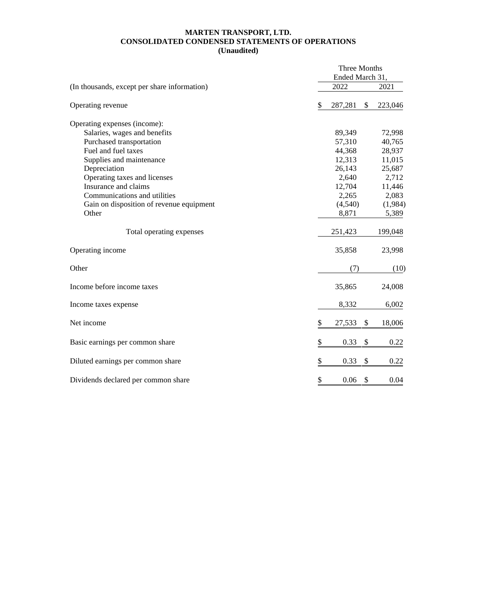#### **MARTEN TRANSPORT, LTD. CONSOLIDATED CONDENSED STATEMENTS OF OPERATIONS (Unaudited)**

|                                              | Three Months<br>Ended March 31, |         |    |         |  |  |
|----------------------------------------------|---------------------------------|---------|----|---------|--|--|
| (In thousands, except per share information) |                                 | 2022    |    |         |  |  |
| Operating revenue                            | \$                              | 287,281 | \$ | 223,046 |  |  |
| Operating expenses (income):                 |                                 |         |    |         |  |  |
| Salaries, wages and benefits                 |                                 | 89,349  |    | 72,998  |  |  |
| Purchased transportation                     |                                 | 57,310  |    | 40,765  |  |  |
| Fuel and fuel taxes                          |                                 | 44,368  |    | 28,937  |  |  |
| Supplies and maintenance                     |                                 | 12,313  |    | 11,015  |  |  |
| Depreciation                                 |                                 | 26,143  |    | 25,687  |  |  |
| Operating taxes and licenses                 |                                 | 2,640   |    | 2,712   |  |  |
| Insurance and claims                         |                                 | 12,704  |    | 11,446  |  |  |
| Communications and utilities                 |                                 | 2,265   |    | 2,083   |  |  |
| Gain on disposition of revenue equipment     |                                 | (4,540) |    | (1,984) |  |  |
| Other                                        |                                 | 8,871   |    | 5,389   |  |  |
| Total operating expenses                     |                                 | 251,423 |    | 199,048 |  |  |
| Operating income                             |                                 | 35,858  |    | 23,998  |  |  |
| Other                                        |                                 | (7)     |    | (10)    |  |  |
| Income before income taxes                   |                                 | 35,865  |    | 24,008  |  |  |
| Income taxes expense                         |                                 | 8,332   |    | 6,002   |  |  |
| Net income                                   | \$                              | 27,533  | \$ | 18,006  |  |  |
| Basic earnings per common share              | \$                              | 0.33    | \$ | 0.22    |  |  |
| Diluted earnings per common share            | \$                              | 0.33    | \$ | 0.22    |  |  |
| Dividends declared per common share          | \$                              | 0.06    | \$ | 0.04    |  |  |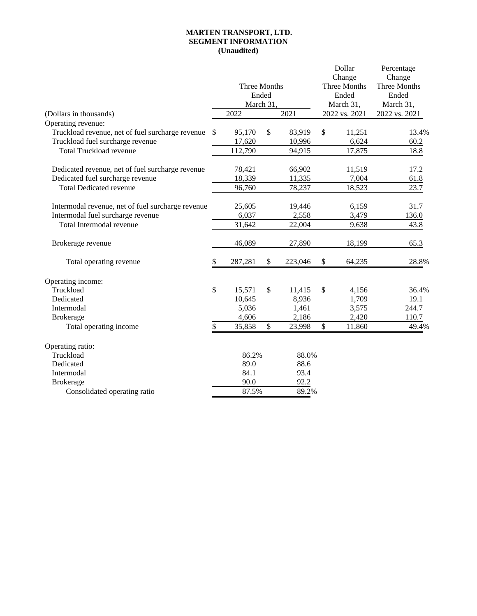#### **MARTEN TRANSPORT, LTD. SEGMENT INFORMATION (Unaudited)**

|                                                   |              |         |              |               |               | Dollar       | Percentage |  |
|---------------------------------------------------|--------------|---------|--------------|---------------|---------------|--------------|------------|--|
|                                                   |              |         |              | Change        |               | Change       |            |  |
|                                                   | Three Months |         |              |               | Three Months  | Three Months |            |  |
|                                                   | Ended        |         |              |               |               | Ended        | Ended      |  |
|                                                   |              |         | March 31,    |               |               | March 31,    | March 31,  |  |
| (Dollars in thousands)                            | 2022<br>2021 |         |              | 2022 vs. 2021 | 2022 vs. 2021 |              |            |  |
| Operating revenue:                                |              |         |              |               |               |              |            |  |
| Truckload revenue, net of fuel surcharge revenue  | $\mathbb{S}$ | 95,170  | \$           | 83,919        | \$            | 11,251       | 13.4%      |  |
| Truckload fuel surcharge revenue                  |              | 17,620  |              | 10,996        |               | 6,624        | 60.2       |  |
| <b>Total Truckload revenue</b>                    |              | 112,790 |              | 94,915        |               | 17,875       | 18.8       |  |
| Dedicated revenue, net of fuel surcharge revenue  |              | 78,421  |              | 66,902        |               | 11,519       | 17.2       |  |
| Dedicated fuel surcharge revenue                  |              | 18,339  |              | 11,335        |               | 7,004        | 61.8       |  |
| <b>Total Dedicated revenue</b>                    |              | 96,760  |              | 78,237        |               | 18,523       | 23.7       |  |
| Intermodal revenue, net of fuel surcharge revenue |              | 25,605  |              | 19,446        |               | 6,159        | 31.7       |  |
| Intermodal fuel surcharge revenue                 |              | 6,037   |              | 2,558         |               | 3,479        | 136.0      |  |
| Total Intermodal revenue                          |              | 31,642  |              | 22,004        |               | 9,638        | 43.8       |  |
| Brokerage revenue                                 |              | 46,089  |              | 27,890        |               | 18,199       | 65.3       |  |
| Total operating revenue                           | \$           | 287,281 | \$           | 223,046       | \$            | 64,235       | 28.8%      |  |
| Operating income:                                 |              |         |              |               |               |              |            |  |
| Truckload                                         | \$           | 15,571  | \$           | 11,415        | \$            | 4,156        | 36.4%      |  |
| Dedicated                                         |              | 10,645  |              | 8,936         |               | 1,709        | 19.1       |  |
| Intermodal                                        |              | 5,036   |              | 1,461         |               | 3,575        | 244.7      |  |
| <b>Brokerage</b>                                  |              | 4,606   |              | 2,186         |               | 2,420        | 110.7      |  |
| Total operating income                            | \$           | 35,858  | $\mathbb{S}$ | 23,998        | \$            | 11,860       | 49.4%      |  |
| Operating ratio:                                  |              |         |              |               |               |              |            |  |
| Truckload                                         | 86.2%        |         | 88.0%        |               |               |              |            |  |
| Dedicated                                         | 89.0         |         | 88.6         |               |               |              |            |  |
| Intermodal                                        |              | 84.1    |              | 93.4          |               |              |            |  |
| <b>Brokerage</b>                                  | 90.0         |         | 92.2         |               |               |              |            |  |
| Consolidated operating ratio                      |              | 87.5%   |              | 89.2%         |               |              |            |  |